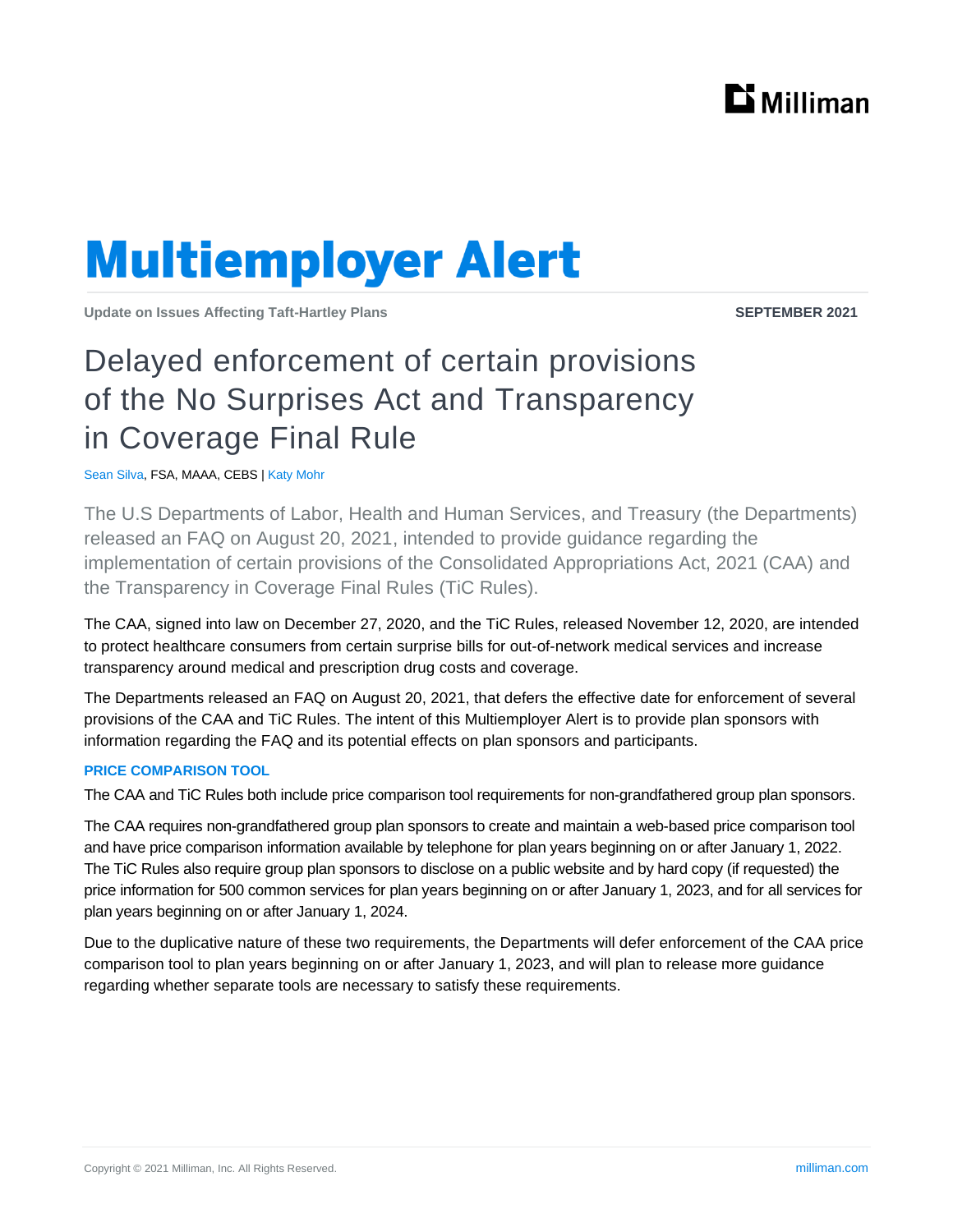

# **Multiemployer Alert**

**Update on Issues Affecting Taft-Hartley Plans SEPTEMBER 2021**

## Delayed enforcement of certain provisions of the No Surprises Act and Transparency in Coverage Final Rule

Sean Silva, FSA, MAAA, CEBS | Katy Mohr

The U.S Departments of Labor, Health and Human Services, and Treasury (the Departments) released an FAQ on August 20, 2021, intended to provide guidance regarding the implementation of certain provisions of the Consolidated Appropriations Act, 2021 (CAA) and the Transparency in Coverage Final Rules (TiC Rules).

The CAA, signed into law on December 27, 2020, and the TiC Rules, released November 12, 2020, are intended to protect healthcare consumers from certain surprise bills for out-of-network medical services and increase transparency around medical and prescription drug costs and coverage.

The Departments released an FAQ on August 20, 2021, that defers the effective date for enforcement of several provisions of the CAA and TiC Rules. The intent of this Multiemployer Alert is to provide plan sponsors with information regarding the FAQ and its potential effects on plan sponsors and participants.

### **PRICE COMPARISON TOOL**

The CAA and TiC Rules both include price comparison tool requirements for non-grandfathered group plan sponsors.

The CAA requires non-grandfathered group plan sponsors to create and maintain a web-based price comparison tool and have price comparison information available by telephone for plan years beginning on or after January 1, 2022. The TiC Rules also require group plan sponsors to disclose on a public website and by hard copy (if requested) the price information for 500 common services for plan years beginning on or after January 1, 2023, and for all services for plan years beginning on or after January 1, 2024.

Due to the duplicative nature of these two requirements, the Departments will defer enforcement of the CAA price comparison tool to plan years beginning on or after January 1, 2023, and will plan to release more guidance regarding whether separate tools are necessary to satisfy these requirements.